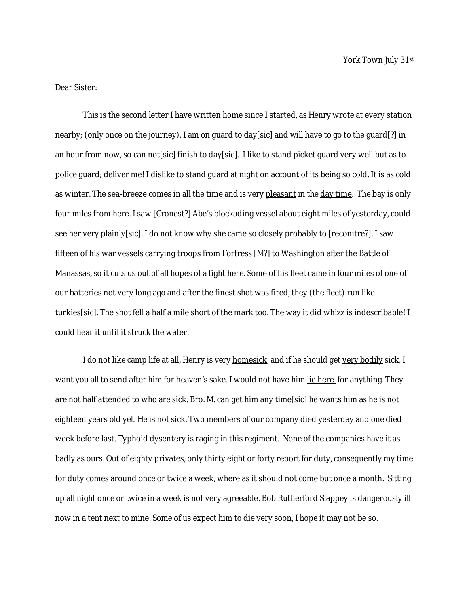Dear Sister:

This is the second letter I have written home since I started, as Henry wrote at every station nearby; (only once on the journey). I am on guard to day[sic] and will have to go to the guard[?] in an hour from now, so can not[sic] finish to day[sic]. I like to stand picket guard very well but as to police guard; deliver me! I dislike to stand guard at night on account of its being so cold. It is as cold as winter. The sea-breeze comes in all the time and is very pleasant in the day time. The bay is only four miles from here. I saw [Cronest?] Abe's blockading vessel about eight miles of yesterday, could see her very plainly[sic]. I do not know why she came so closely probably to [reconitre?]. I saw fifteen of his war vessels carrying troops from Fortress [M?] to Washington after the Battle of Manassas, so it cuts us out of all hopes of a fight here. Some of his fleet came in four miles of one of our batteries not very long ago and after the finest shot was fired, they (the fleet) run like turkies[sic]. The shot fell a half a mile short of the mark too. The way it did whizz is indescribable! I could hear it until it struck the water.

I do not like camp life at all, Henry is very homesick, and if he should get very bodily sick, I want you all to send after him for heaven's sake. I would not have him lie here for anything. They are not half attended to who are sick. Bro. M. can get him any time[sic] he wants him as he is not eighteen years old yet. He is not sick. Two members of our company died yesterday and one died week before last. Typhoid dysentery is raging in this regiment. None of the companies have it as badly as ours. Out of eighty privates, only thirty eight or forty report for duty, consequently my time for duty comes around once or twice a week, where as it should not come but once a month. Sitting up all night once or twice in a week is not very agreeable. Bob Rutherford Slappey is dangerously ill now in a tent next to mine. Some of us expect him to die very soon, I hope it may not be so.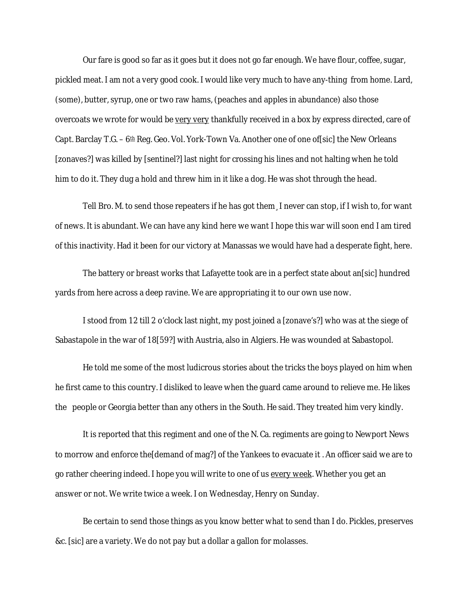Our fare is good so far as it goes but it does not go far enough. We have flour, coffee, sugar, pickled meat. I am not a very good cook. I would like very much to have any-thing from home. Lard, (some), butter, syrup, one or two raw hams, (peaches and apples in abundance) also those overcoats we wrote for would be very very thankfully received in a box by express directed, care of Capt. Barclay T.G. –  $6th$  Reg. Geo. Vol. York-Town Va. Another one of one of [sic] the New Orleans [zonaves?] was killed by [sentinel?] last night for crossing his lines and not halting when he told him to do it. They dug a hold and threw him in it like a dog. He was shot through the head.

Tell Bro. M. to send those repeaters if he has got them¸ I never can stop, if I wish to, for want of news. It is abundant. We can have any kind here we want I hope this war will soon end I am tired of this inactivity. Had it been for our victory at Manassas we would have had a desperate fight, here.

The battery or breast works that Lafayette took are in a perfect state about an[sic] hundred yards from here across a deep ravine. We are appropriating it to our own use now.

I stood from 12 till 2 o'clock last night, my post joined a [zonave's?] who was at the siege of Sabastapole in the war of 18[59?] with Austria, also in Algiers. He was wounded at Sabastopol.

He told me some of the most ludicrous stories about the tricks the boys played on him when he first came to this country. I disliked to leave when the guard came around to relieve me. He likes the people or Georgia better than any others in the South. He said. They treated him very kindly.

It is reported that this regiment and one of the N. Ca. regiments are going to Newport News to morrow and enforce the[demand of mag?] of the Yankees to evacuate it . An officer said we are to go rather cheering indeed. I hope you will write to one of us every week. Whether you get an answer or not. We write twice a week. I on Wednesday, Henry on Sunday.

Be certain to send those things as you know better what to send than I do. Pickles, preserves &c. [sic] are a variety. We do not pay but a dollar a gallon for molasses.